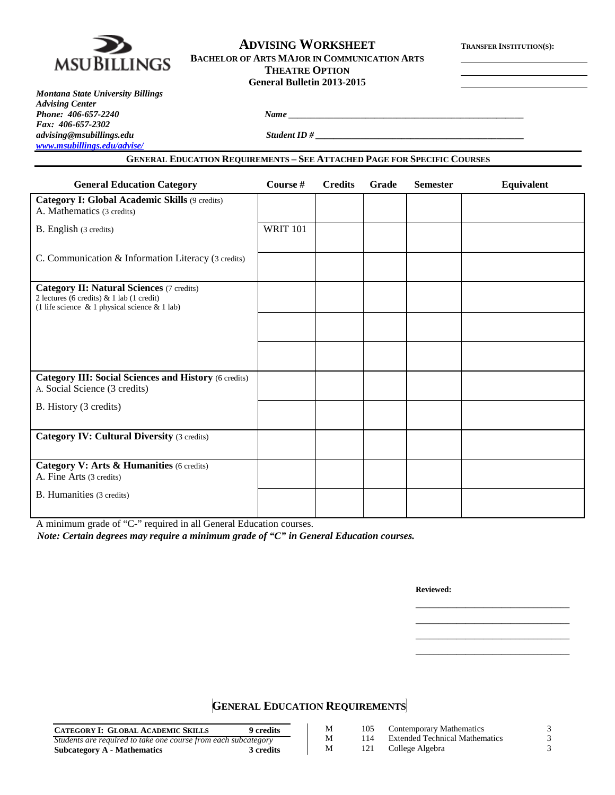

## **ADVISING WORKSHEET TRANSFER INSTITUTION(S): BACHELOR OF ARTS MAJOR IN COMMUNICATION ARTS THEATRE OPTION**

| <b>THEATRE OPTION</b>      |  |
|----------------------------|--|
| General Bulletin 2013-2015 |  |

*advising@msubillings.edu Student ID # \_\_\_\_\_\_\_\_\_\_\_\_\_\_\_\_\_\_\_\_\_\_\_\_\_\_\_\_\_\_\_\_\_\_\_\_\_\_\_\_\_\_\_\_\_\_*

*Montana State University Billings Advising Center Phone: 406-657-2240 Name \_\_\_\_\_\_\_\_\_\_\_\_\_\_\_\_\_\_\_\_\_\_\_\_\_\_\_\_\_\_\_\_\_\_\_\_\_\_\_\_\_\_\_\_\_\_\_\_\_\_\_\_ Fax: 406-657-2302 [www.msubillings.edu/advise/](http://www.msubillings.edu/advise/)*

**GENERAL EDUCATION REQUIREMENTS – SEE ATTACHED PAGE FOR SPECIFIC COURSES**

| <b>General Education Category</b>                                                                                                                      | Course #        | <b>Credits</b> | Grade | <b>Semester</b> | Equivalent |
|--------------------------------------------------------------------------------------------------------------------------------------------------------|-----------------|----------------|-------|-----------------|------------|
| Category I: Global Academic Skills (9 credits)<br>A. Mathematics (3 credits)                                                                           |                 |                |       |                 |            |
| B. English (3 credits)                                                                                                                                 | <b>WRIT 101</b> |                |       |                 |            |
| C. Communication & Information Literacy (3 credits)                                                                                                    |                 |                |       |                 |            |
| <b>Category II: Natural Sciences (7 credits)</b><br>2 lectures (6 credits) $& 1$ lab (1 credit)<br>(1 life science $\&$ 1 physical science $\&$ 1 lab) |                 |                |       |                 |            |
|                                                                                                                                                        |                 |                |       |                 |            |
|                                                                                                                                                        |                 |                |       |                 |            |
| <b>Category III: Social Sciences and History (6 credits)</b><br>A. Social Science (3 credits)                                                          |                 |                |       |                 |            |
| B. History (3 credits)                                                                                                                                 |                 |                |       |                 |            |
| <b>Category IV: Cultural Diversity (3 credits)</b>                                                                                                     |                 |                |       |                 |            |
|                                                                                                                                                        |                 |                |       |                 |            |
| Category V: Arts & Humanities (6 credits)<br>A. Fine Arts (3 credits)                                                                                  |                 |                |       |                 |            |
| <b>B.</b> Humanities (3 credits)                                                                                                                       |                 |                |       |                 |            |
|                                                                                                                                                        |                 |                |       |                 |            |

A minimum grade of "C-" required in all General Education courses.

*Note: Certain degrees may require a minimum grade of "C" in General Education courses.*

**Reviewed:**

\_\_\_\_\_\_\_\_\_\_\_\_\_\_\_\_\_\_\_\_\_\_\_\_\_\_\_\_\_\_\_\_\_\_ \_\_\_\_\_\_\_\_\_\_\_\_\_\_\_\_\_\_\_\_\_\_\_\_\_\_\_\_\_\_\_\_\_\_ \_\_\_\_\_\_\_\_\_\_\_\_\_\_\_\_\_\_\_\_\_\_\_\_\_\_\_\_\_\_\_\_\_\_ \_\_\_\_\_\_\_\_\_\_\_\_\_\_\_\_\_\_\_\_\_\_\_\_\_\_\_\_\_\_\_\_\_\_

**GENERAL EDUCATION REQUIREMENTS**

| <b>CATEGORY I: GLOBAL ACADEMIC SKILLS</b><br>9 credits         | М | 105 | Contemporary Mathematics              |  |
|----------------------------------------------------------------|---|-----|---------------------------------------|--|
| Students are required to take one course from each subcategory | M | 114 | <b>Extended Technical Mathematics</b> |  |
| <b>3 credits</b><br>Subcategory A - Mathematics                | M |     | College Algebra                       |  |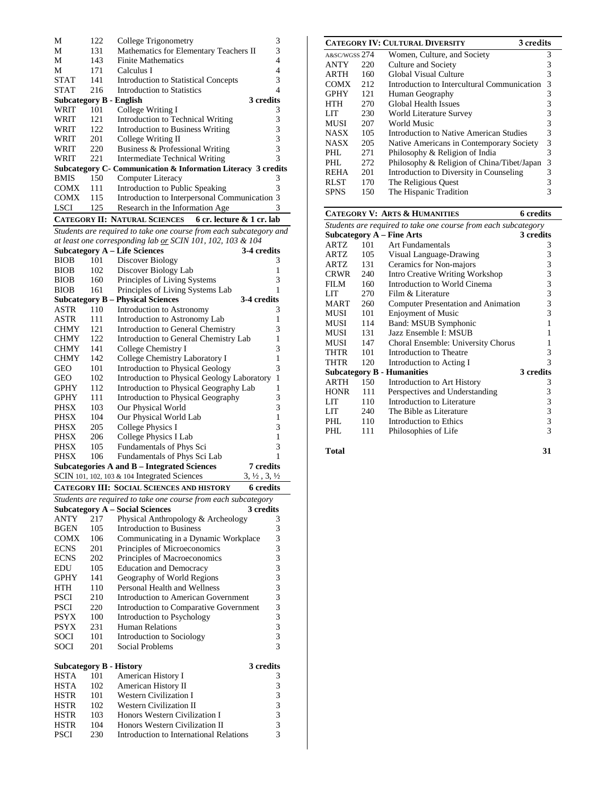| М                                                       | 122                                                  | 3<br>College Trigonometry                                      |           |  |  |  |
|---------------------------------------------------------|------------------------------------------------------|----------------------------------------------------------------|-----------|--|--|--|
| М                                                       | 131                                                  | Mathematics for Elementary Teachers II                         | 3         |  |  |  |
| М                                                       | 143                                                  | <b>Finite Mathematics</b>                                      | 4         |  |  |  |
| М                                                       | 171                                                  | Calculus I                                                     | 4         |  |  |  |
| <b>STAT</b>                                             | 141                                                  | <b>Introduction to Statistical Concepts</b>                    | 3         |  |  |  |
| <b>STAT</b>                                             | 216                                                  | Introduction to Statistics                                     | 4         |  |  |  |
| Subcategory B - English                                 |                                                      |                                                                | 3 credits |  |  |  |
| WRIT                                                    | 101                                                  | College Writing I                                              | 3         |  |  |  |
| WRIT                                                    | 121                                                  | Introduction to Technical Writing                              | 3         |  |  |  |
| WRIT                                                    | 122                                                  | Introduction to Business Writing                               | 3         |  |  |  |
| WRIT                                                    | 201                                                  | College Writing II                                             | 3         |  |  |  |
| WRIT                                                    | 220                                                  | Business & Professional Writing                                | 3         |  |  |  |
| WRIT                                                    | 221                                                  | Intermediate Technical Writing                                 | 3         |  |  |  |
|                                                         |                                                      | Subcategory C - Communication & Information Literacy 3 credits |           |  |  |  |
| <b>BMIS</b>                                             | 150                                                  | Computer Literacy                                              | 3         |  |  |  |
| COMX                                                    | 111                                                  | Introduction to Public Speaking                                | 3         |  |  |  |
| <b>COMX</b>                                             | Introduction to Interpersonal Communication 3<br>115 |                                                                |           |  |  |  |
| <b>LSCI</b>                                             | 125                                                  | Research in the Information Age                                | 3         |  |  |  |
| CATEGORY II: NATURAL SCIENCES 6 cr. lecture & 1 cr. lab |                                                      |                                                                |           |  |  |  |

*Students are required to take one course from each subcategory and at least one corresponding lab or SCIN 101, 102, 103 & 104*

|             |      | <b>Subcategory A - Life Sciences</b>               | 3-4 credits                      |
|-------------|------|----------------------------------------------------|----------------------------------|
| BIOB        | 101  | Discover Biology                                   | 3                                |
| <b>BIOB</b> | 102  | Discover Biology Lab                               | 1                                |
| <b>BIOB</b> | 160  | Principles of Living Systems                       | 3                                |
| <b>BIOB</b> | 161  | Principles of Living Systems Lab                   | 1                                |
|             |      | <b>Subcategory B - Physical Sciences</b>           | 3-4 credits                      |
| ASTR        | 110  | Introduction to Astronomy                          | 3                                |
| ASTR        | 111  | Introduction to Astronomy Lab                      | 1                                |
| <b>CHMY</b> | 12.1 | Introduction to General Chemistry                  | 3                                |
| <b>CHMY</b> | 122  | Introduction to General Chemistry Lab              | 1                                |
| <b>CHMY</b> | 141  | College Chemistry I                                | 3                                |
| <b>CHMY</b> | 142  | College Chemistry Laboratory I                     | 1                                |
| <b>GEO</b>  | 101  | <b>Introduction to Physical Geology</b>            | 3                                |
| GEO         | 102  | Introduction to Physical Geology Laboratory        | 1                                |
| <b>GPHY</b> | 112  | Introduction to Physical Geography Lab             | 1                                |
| GPHY        | 111  | Introduction to Physical Geography                 | 3                                |
| PHSX        | 103  | Our Physical World                                 | 3                                |
| PHSX        | 104  | Our Physical World Lab                             | 1                                |
| PHSX        | 205  | College Physics I                                  | 3                                |
| PHSX        | 206  | College Physics I Lab                              | 1                                |
| PHSX        | 105  | Fundamentals of Phys Sci                           | 3                                |
| <b>PHSX</b> | 106  | Fundamentals of Phys Sci Lab                       | 1                                |
|             |      | <b>Subcategories A and B - Integrated Sciences</b> | 7 credits                        |
|             |      | SCIN 101, 102, 103 & 104 Integrated Sciences       | $3, \frac{1}{2}, 3, \frac{1}{2}$ |
|             |      | <b>CATEGORY III: SOCIAL SCIENCES AND HISTORY</b>   | <b>6</b> credits                 |

| Students are required to take one course from each subcategory |     |                                         |           |  |  |
|----------------------------------------------------------------|-----|-----------------------------------------|-----------|--|--|
|                                                                |     | <b>Subcategory A – Social Sciences</b>  | 3 credits |  |  |
| ANTY                                                           | 217 | Physical Anthropology & Archeology      | 3         |  |  |
| <b>BGEN</b>                                                    | 105 | <b>Introduction to Business</b>         | 3         |  |  |
| COMX                                                           | 106 | Communicating in a Dynamic Workplace    | 3         |  |  |
| <b>ECNS</b>                                                    | 201 | Principles of Microeconomics            | 3         |  |  |
| <b>ECNS</b>                                                    | 202 | Principles of Macroeconomics            | 3         |  |  |
| EDU                                                            | 105 | <b>Education and Democracy</b>          | 3         |  |  |
| <b>GPHY</b>                                                    | 141 | Geography of World Regions              | 3         |  |  |
| <b>HTH</b>                                                     | 110 | Personal Health and Wellness            | 3         |  |  |
| <b>PSCI</b>                                                    | 210 | Introduction to American Government     | 3         |  |  |
| <b>PSCI</b>                                                    | 220 | Introduction to Comparative Government  | 3         |  |  |
| <b>PSYX</b>                                                    | 100 | Introduction to Psychology              | 3         |  |  |
| <b>PSYX</b>                                                    | 231 | <b>Human Relations</b>                  | 3         |  |  |
| SOCI                                                           | 101 | Introduction to Sociology               | 3         |  |  |
| SOCI                                                           | 201 | Social Problems                         | 3         |  |  |
|                                                                |     |                                         |           |  |  |
|                                                                |     | <b>Subcategory B - History</b>          | 3 credits |  |  |
| <b>HSTA</b>                                                    | 101 | American History I                      | 3         |  |  |
| <b>HSTA</b>                                                    | 102 | American History II                     | 3         |  |  |
| <b>HSTR</b>                                                    | 101 | <b>Western Civilization I</b>           | 3         |  |  |
| <b>HSTR</b>                                                    | 102 | <b>Western Civilization II</b>          | 3         |  |  |
| HSTR                                                           | 103 | Honors Western Civilization I           | 3         |  |  |
| <b>HSTR</b>                                                    | 104 | Honors Western Civilization II          | 3         |  |  |
| <b>PSCI</b>                                                    | 230 | Introduction to International Relations | 3         |  |  |

|               |     | <b>CATEGORY IV: CULTURAL DIVERSITY</b><br>3 credits |   |
|---------------|-----|-----------------------------------------------------|---|
| A&SC/WGSS 274 |     | Women, Culture, and Society                         | 3 |
| <b>ANTY</b>   | 220 | Culture and Society                                 | 3 |
| <b>ARTH</b>   | 160 | Global Visual Culture                               | 3 |
| <b>COMX</b>   | 212 | Introduction to Intercultural Communication         | 3 |
| <b>GPHY</b>   | 121 | Human Geography                                     | 3 |
| HTH           | 270 | <b>Global Health Issues</b>                         | 3 |
| LIT           | 230 | World Literature Survey                             | 3 |
| MUSI          | 207 | World Music                                         | 3 |
| <b>NASX</b>   | 105 | Introduction to Native American Studies             | 3 |
| <b>NASX</b>   | 205 | Native Americans in Contemporary Society            | 3 |
| PHI.          | 271 | Philosophy & Religion of India                      | 3 |
| PHI.          | 272 | Philosophy & Religion of China/Tibet/Japan          | 3 |
| <b>REHA</b>   | 201 | Introduction to Diversity in Counseling             | 3 |
| <b>RLST</b>   | 170 | The Religious Quest                                 | 3 |
| SPNS          | 150 | The Hispanic Tradition                              | 3 |

|                                                                |     | <b>CATEGORY V: ARTS &amp; HUMANITIES</b> | 6 credits |  |  |  |
|----------------------------------------------------------------|-----|------------------------------------------|-----------|--|--|--|
| Students are required to take one course from each subcategory |     |                                          |           |  |  |  |
|                                                                |     | Subcategory $A$ – Fine Arts              | 3 credits |  |  |  |
| ARTZ                                                           | 101 | Art Fundamentals                         | 3         |  |  |  |
| ARTZ                                                           | 105 | Visual Language-Drawing                  | 3         |  |  |  |
| ARTZ                                                           | 131 | Ceramics for Non-majors                  | 3         |  |  |  |
| <b>CRWR</b>                                                    | 240 | Intro Creative Writing Workshop          | 3         |  |  |  |
| FILM                                                           | 160 | Introduction to World Cinema             | 3         |  |  |  |
| LIT                                                            | 270 | Film & Literature                        | 3         |  |  |  |
| MART                                                           | 260 | Computer Presentation and Animation      | 3         |  |  |  |
| MUSI                                                           | 101 | <b>Enjoyment of Music</b>                | 3         |  |  |  |
| MUSI                                                           | 114 | Band: MSUB Symphonic                     | 1         |  |  |  |
| MUSI                                                           | 131 | Jazz Ensemble I: MSUB                    | 1         |  |  |  |
| MUSI                                                           | 147 | Choral Ensemble: University Chorus       | 1         |  |  |  |
| THTR                                                           | 101 | Introduction to Theatre                  | 3         |  |  |  |
| THTR                                                           | 120 | Introduction to Acting I                 | 3         |  |  |  |
|                                                                |     | <b>Subcategory B - Humanities</b>        | 3 credits |  |  |  |
| ARTH                                                           | 150 | Introduction to Art History              | 3         |  |  |  |
| <b>HONR</b>                                                    | 111 | Perspectives and Understanding           | 3         |  |  |  |
| LIT                                                            | 110 | Introduction to Literature               | 3         |  |  |  |
| LIT                                                            | 240 | The Bible as Literature                  | 3         |  |  |  |
| PHL                                                            | 110 | Introduction to Ethics                   | 3         |  |  |  |
| PHL                                                            | 111 | Philosophies of Life                     | 3         |  |  |  |
|                                                                |     |                                          |           |  |  |  |

**Total 31**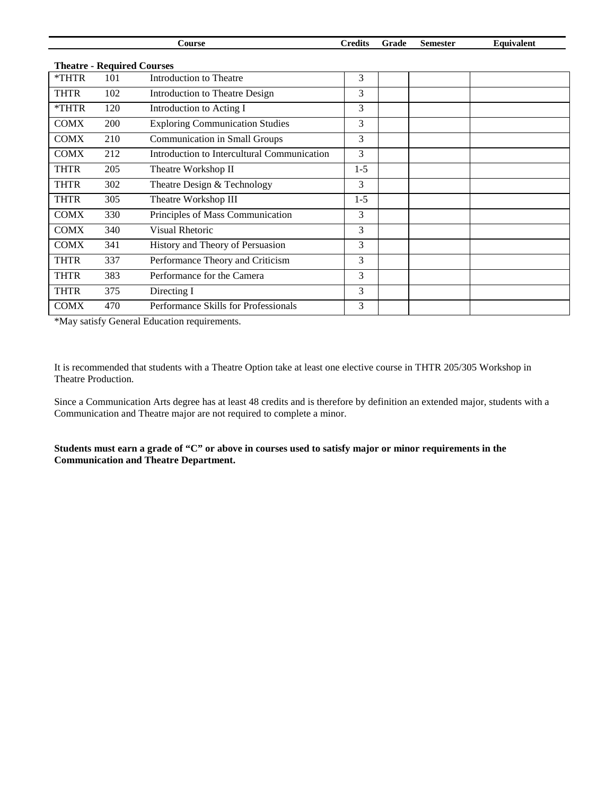|                                   |     | Course                                      | <b>Credits</b> | Grade | <b>Semester</b> | Equivalent |  |  |  |
|-----------------------------------|-----|---------------------------------------------|----------------|-------|-----------------|------------|--|--|--|
| <b>Theatre - Required Courses</b> |     |                                             |                |       |                 |            |  |  |  |
| *THTR                             | 101 | Introduction to Theatre                     | 3              |       |                 |            |  |  |  |
| <b>THTR</b>                       | 102 | Introduction to Theatre Design              | 3              |       |                 |            |  |  |  |
| *THTR                             | 120 | Introduction to Acting I                    | 3              |       |                 |            |  |  |  |
| <b>COMX</b>                       | 200 | <b>Exploring Communication Studies</b>      | 3              |       |                 |            |  |  |  |
| <b>COMX</b>                       | 210 | <b>Communication in Small Groups</b>        | 3              |       |                 |            |  |  |  |
| <b>COMX</b>                       | 212 | Introduction to Intercultural Communication | 3              |       |                 |            |  |  |  |
| <b>THTR</b>                       | 205 | Theatre Workshop II                         | $1 - 5$        |       |                 |            |  |  |  |
| <b>THTR</b>                       | 302 | Theatre Design & Technology                 | 3              |       |                 |            |  |  |  |
| <b>THTR</b>                       | 305 | Theatre Workshop III                        | $1 - 5$        |       |                 |            |  |  |  |
| <b>COMX</b>                       | 330 | Principles of Mass Communication            | 3              |       |                 |            |  |  |  |
| <b>COMX</b>                       | 340 | <b>Visual Rhetoric</b>                      | 3              |       |                 |            |  |  |  |
| <b>COMX</b>                       | 341 | History and Theory of Persuasion            | 3              |       |                 |            |  |  |  |
| <b>THTR</b>                       | 337 | Performance Theory and Criticism            | 3              |       |                 |            |  |  |  |
| <b>THTR</b>                       | 383 | Performance for the Camera                  | 3              |       |                 |            |  |  |  |
| <b>THTR</b>                       | 375 | Directing I                                 | 3              |       |                 |            |  |  |  |
| <b>COMX</b>                       | 470 | Performance Skills for Professionals        | 3              |       |                 |            |  |  |  |

\*May satisfy General Education requirements.

It is recommended that students with a Theatre Option take at least one elective course in THTR 205/305 Workshop in Theatre Production.

Since a Communication Arts degree has at least 48 credits and is therefore by definition an extended major, students with a Communication and Theatre major are not required to complete a minor.

**Students must earn a grade of "C" or above in courses used to satisfy major or minor requirements in the Communication and Theatre Department.**